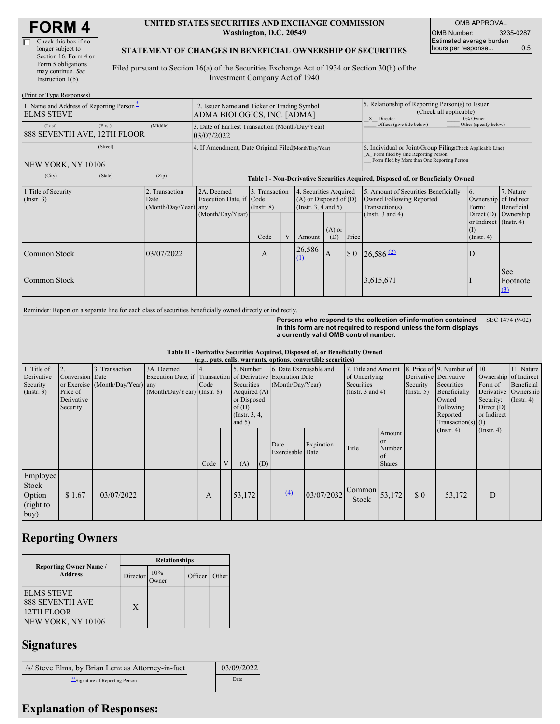| Check this box if no  |
|-----------------------|
| longer subject to     |
| Section 16. Form 4 or |
| Form 5 obligations    |
| may continue. See     |
| Instruction 1(b).     |
|                       |

#### **UNITED STATES SECURITIES AND EXCHANGE COMMISSION Washington, D.C. 20549**

OMB APPROVAL OMB Number: 3235-0287 Estimated average burden hours per response... 0.5

### **STATEMENT OF CHANGES IN BENEFICIAL OWNERSHIP OF SECURITIES**

Filed pursuant to Section 16(a) of the Securities Exchange Act of 1934 or Section 30(h) of the Investment Company Act of 1940

| (Print or Type Responses)                                     |         |                                                      |                                                                            |                                                                                  |  |                                                                              |                 |                                                                                                                                                    |                                                                                    |                                                                   |                               |  |  |
|---------------------------------------------------------------|---------|------------------------------------------------------|----------------------------------------------------------------------------|----------------------------------------------------------------------------------|--|------------------------------------------------------------------------------|-----------------|----------------------------------------------------------------------------------------------------------------------------------------------------|------------------------------------------------------------------------------------|-------------------------------------------------------------------|-------------------------------|--|--|
| 1. Name and Address of Reporting Person-<br><b>ELMS STEVE</b> |         |                                                      | 2. Issuer Name and Ticker or Trading Symbol<br>ADMA BIOLOGICS, INC. [ADMA] |                                                                                  |  |                                                                              |                 | 5. Relationship of Reporting Person(s) to Issuer<br>(Check all applicable)<br>X Director<br>10% Owner                                              |                                                                                    |                                                                   |                               |  |  |
| (Last)<br>888 SEVENTH AVE, 12TH FLOOR                         | (First) | (Middle)                                             | 3. Date of Earliest Transaction (Month/Day/Year)<br>03/07/2022             |                                                                                  |  |                                                                              |                 |                                                                                                                                                    | Officer (give title below)<br>Other (specify below)                                |                                                                   |                               |  |  |
| NEW YORK, NY 10106                                            |         | 4. If Amendment, Date Original Filed(Month/Day/Year) |                                                                            |                                                                                  |  |                                                                              |                 | 6. Individual or Joint/Group Filing Check Applicable Line)<br>X Form filed by One Reporting Person<br>Form filed by More than One Reporting Person |                                                                                    |                                                                   |                               |  |  |
| (City)                                                        | (State) | (Zip)                                                |                                                                            | Table I - Non-Derivative Securities Acquired, Disposed of, or Beneficially Owned |  |                                                                              |                 |                                                                                                                                                    |                                                                                    |                                                                   |                               |  |  |
| 1. Title of Security<br>(Insert. 3)                           |         | 2. Transaction<br>Date<br>(Month/Day/Year) any       | 2A. Deemed<br>Execution Date, if Code                                      | 3. Transaction<br>$($ Instr. $8)$                                                |  | 4. Securities Acquired<br>$(A)$ or Disposed of $(D)$<br>(Insert. 3, 4 and 5) |                 |                                                                                                                                                    | 5. Amount of Securities Beneficially<br>Owned Following Reported<br>Transaction(s) | <sup>6.</sup><br>Ownership of Indirect<br>Form:                   | 7. Nature<br>Beneficial       |  |  |
|                                                               |         |                                                      | (Month/Day/Year)                                                           | Code                                                                             |  | Amount                                                                       | $(A)$ or<br>(D) | Price                                                                                                                                              | (Instr. $3$ and $4$ )                                                              | Direct $(D)$<br>or Indirect (Instr. 4)<br>(1)<br>$($ Instr. 4 $)$ | Ownership                     |  |  |
| Common Stock                                                  |         | 03/07/2022                                           |                                                                            | A                                                                                |  | 26,586<br>$\Omega$                                                           | IA.             | $\boldsymbol{\mathsf{S}}$ 0                                                                                                                        | $26,586$ <sup>(2)</sup>                                                            | D                                                                 |                               |  |  |
| Common Stock                                                  |         |                                                      |                                                                            |                                                                                  |  |                                                                              |                 |                                                                                                                                                    | 3,615,671                                                                          |                                                                   | <b>See</b><br>Footnote<br>(3) |  |  |

Reminder: Report on a separate line for each class of securities beneficially owned directly or indirectly.

**Persons who respond to the collection of information contained in this form are not required to respond unless the form displays a currently valid OMB control number.** SEC 1474 (9-02)

#### **Table II - Derivative Securities Acquired, Disposed of, or Beneficially Owned**

|                                                      | (e.g., puts, calls, warrants, options, convertible securities) |                                                    |                                           |      |                                                                                                                                                                |        |                                             |                          |                                                                             |                        |                                                        |                                                                                                                                           |                                                            |                                                                                            |  |
|------------------------------------------------------|----------------------------------------------------------------|----------------------------------------------------|-------------------------------------------|------|----------------------------------------------------------------------------------------------------------------------------------------------------------------|--------|---------------------------------------------|--------------------------|-----------------------------------------------------------------------------|------------------------|--------------------------------------------------------|-------------------------------------------------------------------------------------------------------------------------------------------|------------------------------------------------------------|--------------------------------------------------------------------------------------------|--|
| 1. Title of<br>Derivative<br>Security<br>(Insert. 3) | 2.<br>Conversion Date<br>Price of<br>Derivative<br>Security    | 3. Transaction<br>or Exercise (Month/Day/Year) any | 3A. Deemed<br>(Month/Day/Year) (Instr. 8) | Code | 5. Number<br>Execution Date, if Transaction of Derivative Expiration Date<br>Securities<br>Acquired $(A)$<br>or Disposed<br>of(D)<br>(Instr. 3, 4,<br>and $5)$ |        | 6. Date Exercisable and<br>(Month/Day/Year) |                          | 7. Title and Amount<br>of Underlying<br>Securities<br>(Instr. $3$ and $4$ ) |                        | Security<br>(Insert. 5)                                | 8. Price of 9. Number of<br>Derivative Derivative<br>Securities<br>Beneficially<br>Owned<br>Following<br>Reported<br>$Transaction(s)$ (I) | 10.<br>Form of<br>Security:<br>Direct $(D)$<br>or Indirect | 11. Nature<br>Ownership of Indirect<br>Beneficial<br>Derivative Ownership<br>$($ Instr. 4) |  |
|                                                      |                                                                |                                                    |                                           | Code | V                                                                                                                                                              | (A)    | (D)                                         | Date<br>Exercisable Date | Expiration                                                                  | Title                  | Amount<br><b>or</b><br>Number<br>  of<br><b>Shares</b> |                                                                                                                                           | (Insert. 4)                                                | $($ Instr. 4 $)$                                                                           |  |
| Employee<br>Stock<br>Option<br>(right to<br>buy)     | \$1.67                                                         | 03/07/2022                                         |                                           | А    |                                                                                                                                                                | 53,172 |                                             | (4)                      | 03/07/2032                                                                  | Common<br><b>Stock</b> | 53,172                                                 | \$0                                                                                                                                       | 53,172                                                     | D                                                                                          |  |

## **Reporting Owners**

|                                                                                 | <b>Relationships</b> |              |         |       |  |  |  |  |
|---------------------------------------------------------------------------------|----------------------|--------------|---------|-------|--|--|--|--|
| <b>Reporting Owner Name /</b><br><b>Address</b>                                 | Director             | 10%<br>Owner | Officer | Other |  |  |  |  |
| <b>ELMS STEVE</b><br><b>888 SEVENTH AVE</b><br>12TH FLOOR<br>NEW YORK, NY 10106 | X                    |              |         |       |  |  |  |  |

# **Signatures**

 $/s/$  Steve Elms, by Brian Lenz as Attorney-in-fact  $\vert$  03/09/2022 \*\*Signature of Reporting Person Date

## **Explanation of Responses:**